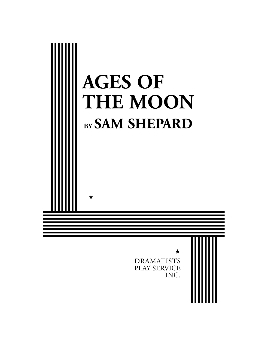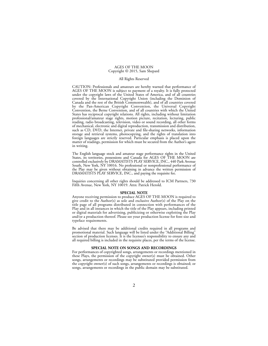#### AGES OF THE MOON Copyright © 2015, Sam Shepard

### All Rights Reserved

CAUTION: Professionals and amateurs are hereby warned that performance of AGES OF THE MOON is subject to payment of a royalty. It is fully protected under the copyright laws of the United States of America, and of all countries covered by the International Copyright Union (including the Dominion of Canada and the rest of the British Commonwealth), and of all countries covered by the Pan-American Copyright Convention, the Universal Copyright Convention, the Berne Convention, and of all countries with which the United States has reciprocal copyright relations. All rights, including without limitation professional/amateur stage rights, motion picture, recitation, lecturing, public reading, radio broadcasting, television, video or sound recording, all other forms of mechanical, electronic and digital reproduction, transmission and distribution, such as CD, DVD, the Internet, private and file-sharing networks, information storage and retrieval systems, photocopying, and the rights of translation into foreign languages are strictly reserved. Particular emphasis is placed upon the matter of readings, permission for which must be secured from the Author's agent in writing.

The English language stock and amateur stage performance rights in the United States, its territories, possessions and Canada for AGES OF THE MOON are controlled exclusively by DRAMATISTS PLAY SERVICE, INC., 440 Park Avenue South, New York, NY 10016. No professional or nonprofessional performance of the Play may be given without obtaining in advance the written permission of DRAMATISTS PLAY SERVICE, INC., and paying the requisite fee.

Inquiries concerning all other rights should be addressed to ICM Partners, 730 Fifth Avenue, New York, NY 10019. Attn: Patrick Herold.

#### **SPECIAL NOTE**

Anyone receiving permission to produce AGES OF THE MOON is required to give credit to the Author(s) as sole and exclusive Author(s) of the Play on the title page of all programs distributed in connection with performances of the Play and in all instances in which the title of the Play appears, including printed or digital materials for advertising, publicizing or otherwise exploiting the Play and/or a production thereof. Please see your production license for font size and typeface requirements.

Be advised that there may be additional credits required in all programs and promotional material. Such language will be listed under the "Additional Billing" section of production licenses. It is the licensee's responsibility to ensure any and all required billing is included in the requisite places, per the terms of the license.

#### **SPECIAL NOTE ON SONGS AND RECORDINGS**

For performances of copyrighted songs, arrangements or recordings mentioned in these Plays, the permission of the copyright owner(s) must be obtained. Other songs, arrangements or recordings may be substituted provided permission from the copyright owner(s) of such songs, arrangements or recordings is obtained; or songs, arrangements or recordings in the public domain may be substituted.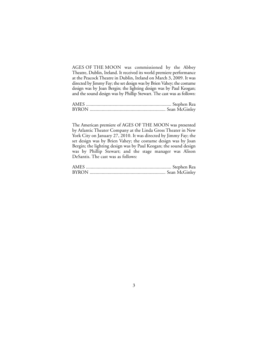AGES OF THE MOON was commissioned by the Abbey Theatre, Dublin, Ireland. It received its world premiere performance at the Peacock Theatre in Dublin, Ireland on March 3, 2009. It was directed by Jimmy Fay; the set design was by Brien Vahey; the costume design was by Joan Bergin; the lighting design was by Paul Keogan; and the sound design was by Phillip Stewart. The cast was as follows:

| <b>BYRON</b> |  |
|--------------|--|

The American premiere of AGES OF THE MOON was presented by Atlantic Theater Company at the Linda Gross Theater in New York City on January 27, 2010. It was directed by Jimmy Fay; the set design was by Brien Vahey; the costume design was by Joan Bergin; the lighting design was by Paul Keogan; the sound design was by Phillip Stewart; and the stage manager was Alison DeSantis. The cast was as follows:

| <b>BYRON</b> |  |
|--------------|--|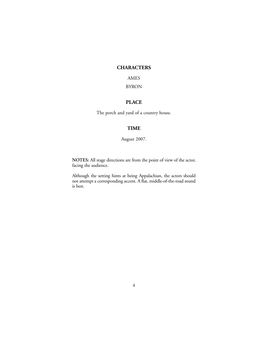## **CHARACTERS**

AMES

## BYRON

## **PLACE**

The porch and yard of a country house.

## **TIME**

August 2007.

**NOTES:** All stage directions are from the point of view of the actor, facing the audience.

Although the setting hints at being Appalachian, the actors should not attempt a corresponding accent. A flat, middle-of-the-road sound is best.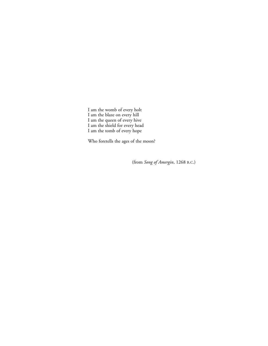I am the womb of every holt I am the blaze on every hill I am the queen of every hive I am the shield for every head I am the tomb of every hope

Who foretells the ages of the moon?

(from *Song of Amergin*, 1268 B.C.)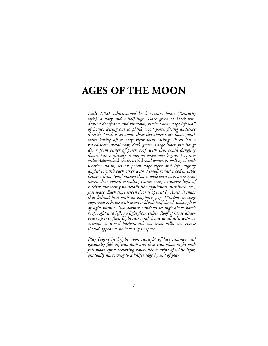# **AGES OF THE MOON**

*Early 1800s whitewashed brick country house (Kentucky style), a story and a half high. Dark green or black trim around doorframe and windows; kitchen door stage-left wall of house, letting out to plank wood porch facing audience directly. Porch is set about three feet above stage floor; plank stairs letting off to stage-right with railing. Porch has a raised-seam metal roof, dark green. Large black fan hangs down from center of porch roof, with thin chain dangling down. Fan is already in motion when play begins. Two raw cedar Adirondack chairs with broad armrests, well-aged with weather stains, set on porch stage right and left, slightly angled towards each other with a small round wooden table between them. Solid kitchen door is wide open with an exterior screen door closed, revealing warm orange interior light of kitchen but seeing no details like appliances, furniture, etc., just space. Each time screen door is opened by Ames, it snaps shut behind him with an emphatic pop. Window in stage right wall of house with interior blinds half closed; yellow glow of light within. Two dormer windows set high above porch roof, right and left; no light from either. Roof of house disappears up into flies. Light surrounds house at all sides with no attempt at literal background, i.e. trees, hills, etc. House should appear to be hovering in space.*

*Play begins in bright noon sunlight of late summer and gradually falls off into dusk and then into black night with full moon effect occurring slowly like a stripe of white light, gradually narrowing to a knife's edge by end of play.*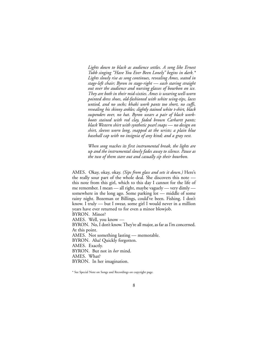*Lights down to black as audience settles. A song like Ernest Tubb singing "Have You Ever Been Lonely" begins in dark.\* Lights slowly rise as song continues, revealing Ames, seated in stage-left chair; Byron in stage-right — each staring straight out over the audience and nursing glasses of bourbon on ice. They are both in their mid-sixties. Ames is wearing well-worn pointed dress shoes, old-fashioned with white wing-tips, laces untied, and no socks; khaki work pants too short, no cuffs, revealing his skinny ankles; slightly stained white t-shirt, black suspenders over, no hat. Byron wears a pair of black workboots stained with red clay, faded brown Carhartt pants; black Western shirt with synthetic pearl snaps — no design on shirt, sleeves worn long, snapped at the wrists; a plain blue baseball cap with no insignia of any kind; and a gray vest.*

*When song reaches its first instrumental break, the lights are up and the instrumental slowly fades away to silence. Pause as the two of them stare out and casually sip their bourbon.*

AMES. Okay, okay, okay. *(Sips from glass and sets it down.)* Here's the really sour part of the whole deal. She discovers this note this note from this girl, which to this day I cannot for the life of me remember. I mean — all right, maybe vaguely — very dimly somewhere in the long ago. Some parking lot — middle of some rainy night. Bozeman or Billings, could've been. Fishing. I don't know. I truly — but I swear, some girl I would never in a million years have ever returned to for even a minor blowjob.

BYRON. Minor?

AMES. Well, you know —

BYRON. No, I don't know. They're all major, as far as I'm concerned. At this point.

AMES. Not something lasting — memorable.

BYRON. Aha! Quickly forgotten.

AMES. Exactly.

BYRON. But not in *her* mind.

AMES. What?

BYRON. In her imagination.

\* See Special Note on Songs and Recordings on copyright page.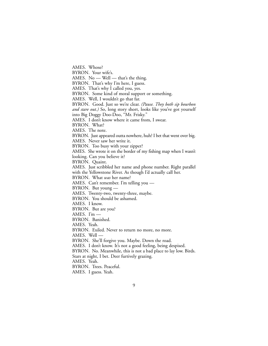AMES. Whose?

BYRON. Your wife's.

AMES. No — Well — that's the thing.

BYRON. That's why I'm here, I guess.

AMES. That's why I called you, yes.

BYRON. Some kind of moral support or something.

AMES. Well, I wouldn't go that far.

BYRON. Good. Just so we're clear. *(Pause. They both sip bourbon and stare out.)* So, long story short, looks like you've got yourself into Big Doggy Doo-Doo, "Mr. Frisky."

AMES. I don't know where it came from, I swear.

BYRON. What?

AMES. The note.

BYRON. Just appeared outta nowhere, huh? I bet that went over big.

AMES. Never saw her write it.

BYRON. Too busy with your zipper?

AMES. She wrote it on the border of my fishing map when I wasn't looking. Can you believe it?

BYRON. Quaint.

AMES. Just scribbled her name and phone number. Right parallel with the Yellowstone River. As though I'd actually call her.

BYRON. What *was* her name?

AMES. Can't remember. I'm telling you —

BYRON. But young —

AMES. Twenty-two, twenty-three, maybe.

BYRON. You should be ashamed.

AMES. I know.

BYRON. But are you?

AMES. I'm  $-$ 

BYRON. Banished.

AMES. Yeah.

BYRON. Exiled. Never to return no more, no more.

AMES. Well —

BYRON. She'll forgive you. Maybe. Down the road.

AMES. I don't know. It's not a good feeling, being despised.

BYRON. No. Meanwhile, this is not a bad place to lay low. Birds.

Stars at night, I bet. Deer furtively grazing.

AMES. Yeah.

BYRON. Trees. Peaceful.

AMES. I guess. Yeah.